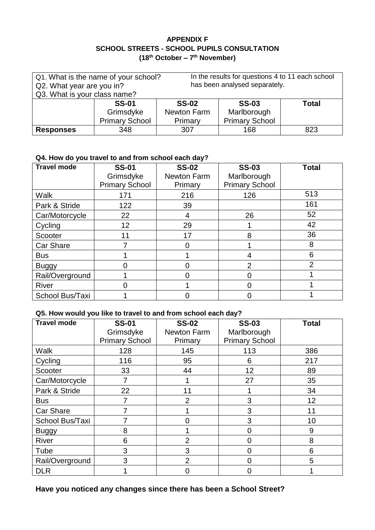#### **APPENDIX F SCHOOL STREETS - SCHOOL PUPILS CONSULTATION (18th October – 7 th November)**

| Q1. What is the name of your school?<br>Q2. What year are you in? |                       |              | In the results for questions 4 to 11 each school<br>has been analysed separately. |              |
|-------------------------------------------------------------------|-----------------------|--------------|-----------------------------------------------------------------------------------|--------------|
| Q3. What is your class name?                                      |                       |              |                                                                                   |              |
|                                                                   | <b>SS-01</b>          | <b>SS-02</b> | <b>SS-03</b>                                                                      | <b>Total</b> |
|                                                                   | Grimsdyke             | Newton Farm  | Marlborough                                                                       |              |
|                                                                   | <b>Primary School</b> | Primary      | <b>Primary School</b>                                                             |              |
| <b>Responses</b>                                                  | 348                   | 307          | 168                                                                               | 823          |

### **Q4. How do you travel to and from school each day?**

| <b>Travel mode</b> | <b>SS-01</b><br>Grimsdyke<br><b>Primary School</b> | <b>SS-02</b><br>Newton Farm<br>Primary | <b>SS-03</b><br>Marlborough<br><b>Primary School</b> | <b>Total</b>   |
|--------------------|----------------------------------------------------|----------------------------------------|------------------------------------------------------|----------------|
| Walk               | 171                                                | 216                                    | 126                                                  | 513            |
| Park & Stride      | 122                                                | 39                                     |                                                      | 161            |
| Car/Motorcycle     | 22                                                 | 4                                      | 26                                                   | 52             |
| Cycling            | 12                                                 | 29                                     |                                                      | 42             |
| Scooter            | 11                                                 | 17                                     | 8                                                    | 36             |
| <b>Car Share</b>   |                                                    |                                        |                                                      | 8              |
| <b>Bus</b>         |                                                    |                                        | 4                                                    | 6              |
| <b>Buggy</b>       |                                                    |                                        | $\overline{2}$                                       | $\overline{2}$ |
| Rail/Overground    |                                                    |                                        |                                                      |                |
| River              |                                                    |                                        |                                                      |                |
| School Bus/Taxi    |                                                    |                                        |                                                      |                |

#### **Q5. How would you like to travel to and from school each day?**

| <b>Travel mode</b> | <b>SS-01</b>          | <b>SS-02</b>       | <b>SS-03</b>          | <b>Total</b> |
|--------------------|-----------------------|--------------------|-----------------------|--------------|
|                    | Grimsdyke             | <b>Newton Farm</b> | Marlborough           |              |
|                    | <b>Primary School</b> | Primary            | <b>Primary School</b> |              |
| <b>Walk</b>        | 128                   | 145                | 113                   | 386          |
| Cycling            | 116                   | 95                 | 6                     | 217          |
| Scooter            | 33                    | 44                 | 12                    | 89           |
| Car/Motorcycle     |                       |                    | 27                    | 35           |
| Park & Stride      | 22                    | 11                 |                       | 34           |
| <b>Bus</b>         | 7                     | $\overline{2}$     | 3                     | 12           |
| <b>Car Share</b>   |                       |                    | 3                     | 11           |
| School Bus/Taxi    |                       |                    | 3                     | 10           |
| <b>Buggy</b>       | 8                     |                    | 0                     | 9            |
| <b>River</b>       | 6                     | $\overline{2}$     | 0                     | 8            |
| Tube               | 3                     | 3                  | 0                     | 6            |
| Rail/Overground    | 3                     | $\overline{2}$     | 0                     | 5            |
| <b>DLR</b>         |                       | O                  | 0                     |              |

**Have you noticed any changes since there has been a School Street?**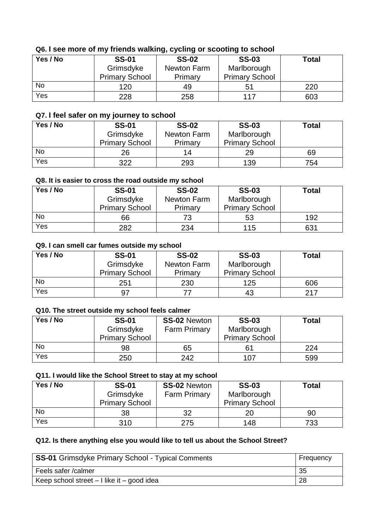# **Q6. I see more of my friends walking, cycling or scooting to school**

| Yes / No  | <b>SS-01</b>          | <b>SS-02</b> | <b>SS-03</b>          | <b>Total</b> |
|-----------|-----------------------|--------------|-----------------------|--------------|
|           | Grimsdyke             | Newton Farm  | Marlborough           |              |
|           | <b>Primary School</b> | Primary      | <b>Primary School</b> |              |
| <b>No</b> | 120                   | 49           | 51                    | 220          |
| Yes       | 228                   | 258          | 117                   | 603          |

## **Q7. I feel safer on my journey to school**

| Yes / No | <b>SS-01</b><br>Grimsdyke | <b>SS-02</b><br>Newton Farm | <b>SS-03</b><br>Marlborough | <b>Total</b> |
|----------|---------------------------|-----------------------------|-----------------------------|--------------|
|          | <b>Primary School</b>     | Primary                     | <b>Primary School</b>       |              |
| No       | 26                        | 14                          | 29                          | 69           |
| Yes      | 322                       | 293                         | 139                         | 754          |

#### **Q8. It is easier to cross the road outside my school**

| Yes / No  | <b>SS-01</b>          | <b>SS-02</b> | <b>SS-03</b>          | <b>Total</b> |
|-----------|-----------------------|--------------|-----------------------|--------------|
|           | Grimsdyke             | Newton Farm  | Marlborough           |              |
|           | <b>Primary School</b> | Primary      | <b>Primary School</b> |              |
| <b>No</b> | 66                    | 73           | 53                    | 192          |
| Yes       | 282                   | 234          | 115                   | 631          |

### **Q9. I can smell car fumes outside my school**

| Yes / No  | <b>SS-01</b><br>Grimsdyke | <b>SS-02</b><br>Newton Farm | <b>SS-03</b><br>Marlborough | <b>Total</b> |
|-----------|---------------------------|-----------------------------|-----------------------------|--------------|
|           | <b>Primary School</b>     | Primary                     | <b>Primary School</b>       |              |
| <b>No</b> | 251                       | 230                         | 125                         | 606          |
| Yes       | 97                        |                             | 43                          | 217          |

## **Q10. The street outside my school feels calmer**

| Yes / No | <b>SS-01</b><br>Grimsdyke<br><b>Primary School</b> | <b>SS-02 Newton</b><br><b>Farm Primary</b> | <b>SS-03</b><br>Marlborough<br><b>Primary School</b> | <b>Total</b> |
|----------|----------------------------------------------------|--------------------------------------------|------------------------------------------------------|--------------|
| No       | 98                                                 | 65                                         | 61                                                   | 224          |
| Yes      | 250                                                | 242                                        | 107                                                  | 599          |

#### **Q11. I would like the School Street to stay at my school**

| Yes / No | <b>SS-01</b><br>Grimsdyke<br><b>Primary School</b> | <b>SS-02 Newton</b><br><b>Farm Primary</b> | <b>SS-03</b><br>Marlborough<br><b>Primary School</b> | <b>Total</b> |
|----------|----------------------------------------------------|--------------------------------------------|------------------------------------------------------|--------------|
| No       | 38                                                 | 32                                         | 20                                                   | 90           |
| Yes      | 310                                                | 275                                        | 148                                                  | 733          |

#### **Q12. Is there anything else you would like to tell us about the School Street?**

| <b>SS-01</b> Grimsdyke Primary School - Typical Comments | Frequency |
|----------------------------------------------------------|-----------|
| Feels safer / calmer                                     | 35        |
| Keep school street $-1$ like it $-$ good idea            | 28        |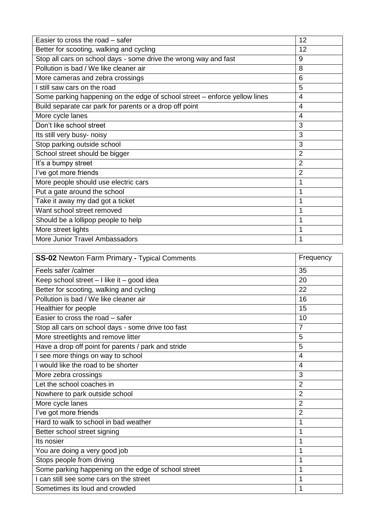| Easier to cross the road – safer                                           | 12             |
|----------------------------------------------------------------------------|----------------|
| Better for scooting, walking and cycling                                   | 12             |
| Stop all cars on school days - some drive the wrong way and fast           | 9              |
| Pollution is bad / We like cleaner air                                     | 8              |
| More cameras and zebra crossings                                           | 6              |
| I still saw cars on the road                                               | 5              |
| Some parking happening on the edge of school street – enforce yellow lines | $\overline{4}$ |
| Build separate car park for parents or a drop off point                    | $\overline{4}$ |
| More cycle lanes                                                           | 4              |
| Don't like school street                                                   | 3              |
| Its still very busy- noisy                                                 | 3              |
| Stop parking outside school                                                | 3              |
| School street should be bigger                                             | $\overline{2}$ |
| It's a bumpy street                                                        | $\overline{2}$ |
| l've got more friends                                                      | $\overline{2}$ |
| More people should use electric cars                                       | 1              |
| Put a gate around the school                                               | 1              |
| Take it away my dad got a ticket                                           | 1              |
| Want school street removed                                                 | 1              |
| Should be a lollipop people to help                                        | 1              |
| More street lights                                                         |                |
| More Junior Travel Ambassadors                                             |                |

| <b>SS-02</b> Newton Farm Primary - Typical Comments | Frequency      |
|-----------------------------------------------------|----------------|
| Feels safer /calmer                                 | 35             |
| Keep school street $-1$ like it $-$ good idea       | 20             |
| Better for scooting, walking and cycling            | 22             |
| Pollution is bad / We like cleaner air              | 16             |
| Healthier for people                                | 15             |
| Easier to cross the road - safer                    | 10             |
| Stop all cars on school days - some drive too fast  | $\overline{7}$ |
| More streetlights and remove litter                 | 5              |
| Have a drop off point for parents / park and stride | 5              |
| I see more things on way to school                  | $\overline{4}$ |
| I would like the road to be shorter                 | $\overline{4}$ |
| More zebra crossings                                | 3              |
| Let the school coaches in                           | $\overline{2}$ |
| Nowhere to park outside school                      | $\overline{2}$ |
| More cycle lanes                                    | $\overline{2}$ |
| l've got more friends                               | $\overline{2}$ |
| Hard to walk to school in bad weather               | 1              |
| Better school street signing                        | 1              |
| Its nosier                                          | 1              |
| You are doing a very good job                       | 1              |
| Stops people from driving                           | 1              |
| Some parking happening on the edge of school street | 1              |
| I can still see some cars on the street             | 1              |
| Sometimes its loud and crowded                      | 1              |